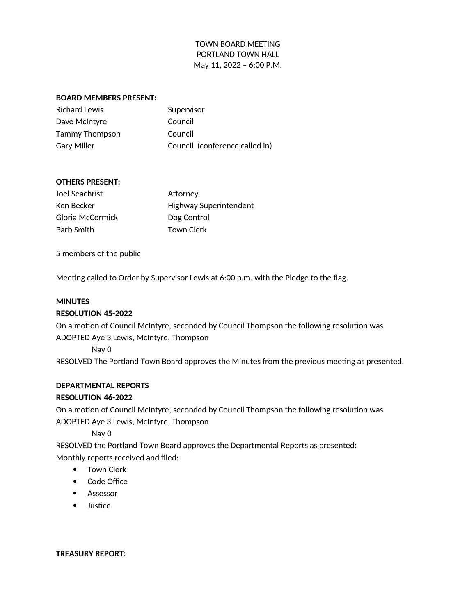#### **BOARD MEMBERS PRESENT:**

| Supervisor                     |
|--------------------------------|
| Council                        |
| Council                        |
| Council (conference called in) |
|                                |

#### **OTHERS PRESENT:**

| Joel Seachrist   | Attorney                      |
|------------------|-------------------------------|
| Ken Becker       | <b>Highway Superintendent</b> |
| Gloria McCormick | Dog Control                   |
| Barb Smith       | Town Clerk                    |

5 members of the public

Meeting called to Order by Supervisor Lewis at 6:00 p.m. with the Pledge to the flag.

#### **MINUTES**

#### **RESOLUTION 45-2022**

On a motion of Council McIntyre, seconded by Council Thompson the following resolution was ADOPTED Aye 3 Lewis, McIntyre, Thompson

Nay 0

RESOLVED The Portland Town Board approves the Minutes from the previous meeting as presented.

#### **DEPARTMENTAL REPORTS**

### **RESOLUTION 46-2022**

On a motion of Council McIntyre, seconded by Council Thompson the following resolution was ADOPTED Aye 3 Lewis, McIntyre, Thompson

Nay 0

RESOLVED the Portland Town Board approves the Departmental Reports as presented: Monthly reports received and filed:

- Town Clerk
- Code Office
- Assessor
- Justice

**TREASURY REPORT:**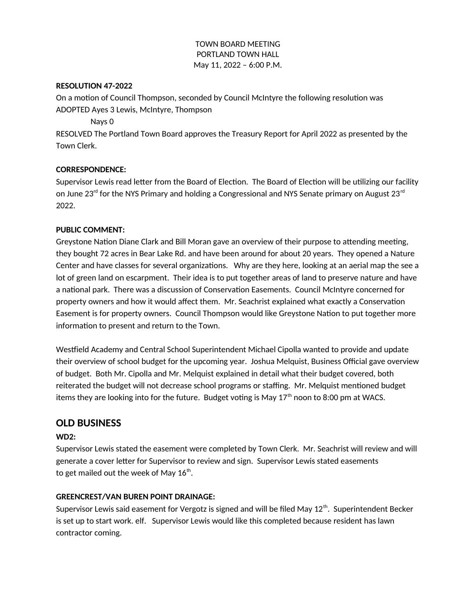## **RESOLUTION 47-2022**

On a motion of Council Thompson, seconded by Council McIntyre the following resolution was ADOPTED Ayes 3 Lewis, McIntyre, Thompson

Nays 0

RESOLVED The Portland Town Board approves the Treasury Report for April 2022 as presented by the Town Clerk.

# **CORRESPONDENCE:**

Supervisor Lewis read letter from the Board of Election. The Board of Election will be utilizing our facility on June 23<sup>rd</sup> for the NYS Primary and holding a Congressional and NYS Senate primary on August 23<sup>rd</sup> 2022.

## **PUBLIC COMMENT:**

Greystone Nation Diane Clark and Bill Moran gave an overview of their purpose to attending meeting, they bought 72 acres in Bear Lake Rd. and have been around for about 20 years. They opened a Nature Center and have classes for several organizations. Why are they here, looking at an aerial map the see a lot of green land on escarpment. Their idea is to put together areas of land to preserve nature and have a national park. There was a discussion of Conservation Easements. Council McIntyre concerned for property owners and how it would affect them. Mr. Seachrist explained what exactly a Conservation Easement is for property owners. Council Thompson would like Greystone Nation to put together more information to present and return to the Town.

Westfield Academy and Central School Superintendent Michael Cipolla wanted to provide and update their overview of school budget for the upcoming year. Joshua Melquist, Business Official gave overview of budget. Both Mr. Cipolla and Mr. Melquist explained in detail what their budget covered, both reiterated the budget will not decrease school programs or staffing. Mr. Melquist mentioned budget items they are looking into for the future. Budget voting is May  $17<sup>th</sup>$  noon to 8:00 pm at WACS.

# **OLD BUSINESS**

# **WD2:**

Supervisor Lewis stated the easement were completed by Town Clerk. Mr. Seachrist will review and will generate a cover letter for Supervisor to review and sign. Supervisor Lewis stated easements to get mailed out the week of May  $16^{\text{th}}$ .

# **GREENCREST/VAN BUREN POINT DRAINAGE:**

Supervisor Lewis said easement for Vergotz is signed and will be filed May  $12<sup>th</sup>$ . Superintendent Becker is set up to start work. elf. Supervisor Lewis would like this completed because resident has lawn contractor coming.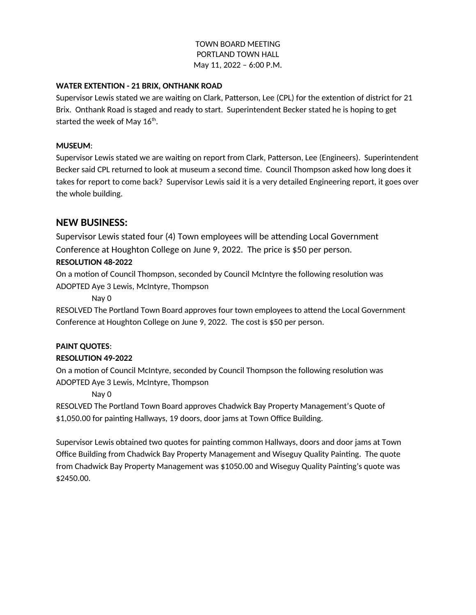## **WATER EXTENTION - 21 BRIX, ONTHANK ROAD**

Supervisor Lewis stated we are waiting on Clark, Patterson, Lee (CPL) for the extention of district for 21 Brix. Onthank Road is staged and ready to start. Superintendent Becker stated he is hoping to get started the week of May  $16^{\text{th}}.$ 

## **MUSEUM**:

Supervisor Lewis stated we are waiting on report from Clark, Patterson, Lee (Engineers). Superintendent Becker said CPL returned to look at museum a second time. Council Thompson asked how long does it takes for report to come back? Supervisor Lewis said it is a very detailed Engineering report, it goes over the whole building.

# **NEW BUSINESS:**

Supervisor Lewis stated four (4) Town employees will be attending Local Government Conference at Houghton College on June 9, 2022. The price is \$50 per person.

# **RESOLUTION 48-2022**

On a motion of Council Thompson, seconded by Council McIntyre the following resolution was ADOPTED Aye 3 Lewis, McIntyre, Thompson

Nay 0

RESOLVED The Portland Town Board approves four town employees to attend the Local Government Conference at Houghton College on June 9, 2022. The cost is \$50 per person.

# **PAINT QUOTES**:

# **RESOLUTION 49-2022**

On a motion of Council McIntyre, seconded by Council Thompson the following resolution was ADOPTED Aye 3 Lewis, McIntyre, Thompson

Nay 0

RESOLVED The Portland Town Board approves Chadwick Bay Property Management's Quote of \$1,050.00 for painting Hallways, 19 doors, door jams at Town Office Building.

Supervisor Lewis obtained two quotes for painting common Hallways, doors and door jams at Town Office Building from Chadwick Bay Property Management and Wiseguy Quality Painting. The quote from Chadwick Bay Property Management was \$1050.00 and Wiseguy Quality Painting's quote was \$2450.00.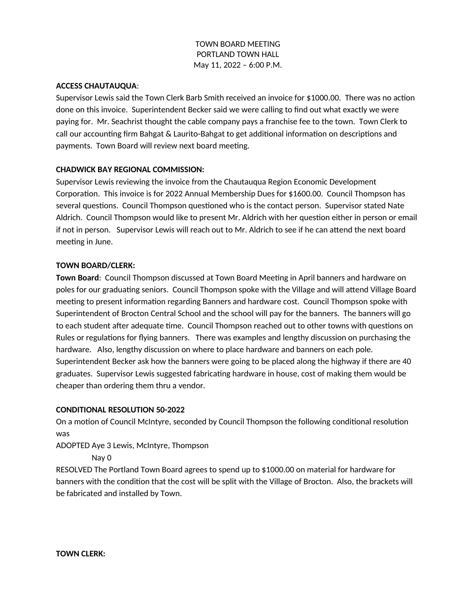### **ACCESS CHAUTAUQUA**:

Supervisor Lewis said the Town Clerk Barb Smith received an invoice for \$1000.00. There was no action done on this invoice. Superintendent Becker said we were calling to find out what exactly we were paying for. Mr. Seachrist thought the cable company pays a franchise fee to the town. Town Clerk to call our accounting firm Bahgat & Laurito-Bahgat to get additional information on descriptions and payments. Town Board will review next board meeting.

## **CHADWICK BAY REGIONAL COMMISSION:**

Supervisor Lewis reviewing the invoice from the Chautauqua Region Economic Development Corporation. This invoice is for 2022 Annual Membership Dues for \$1600.00. Council Thompson has several questions. Council Thompson questioned who is the contact person. Supervisor stated Nate Aldrich. Council Thompson would like to present Mr. Aldrich with her question either in person or email if not in person. Supervisor Lewis will reach out to Mr. Aldrich to see if he can attend the next board meeting in June.

### **TOWN BOARD/CLERK:**

**Town Board**: Council Thompson discussed at Town Board Meeting in April banners and hardware on poles for our graduating seniors. Council Thompson spoke with the Village and will attend Village Board meeting to present information regarding Banners and hardware cost. Council Thompson spoke with Superintendent of Brocton Central School and the school will pay for the banners. The banners will go to each student after adequate time. Council Thompson reached out to other towns with questions on Rules or regulations for flying banners. There was examples and lengthy discussion on purchasing the hardware. Also, lengthy discussion on where to place hardware and banners on each pole. Superintendent Becker ask how the banners were going to be placed along the highway if there are 40 graduates. Supervisor Lewis suggested fabricating hardware in house, cost of making them would be cheaper than ordering them thru a vendor.

### **CONDITIONAL RESOLUTION 50-2022**

On a motion of Council McIntyre, seconded by Council Thompson the following conditional resolution was

ADOPTED Aye 3 Lewis, McIntyre, Thompson

Nay 0

RESOLVED The Portland Town Board agrees to spend up to \$1000.00 on material for hardware for banners with the condition that the cost will be split with the Village of Brocton. Also, the brackets will be fabricated and installed by Town.

**TOWN CLERK:**